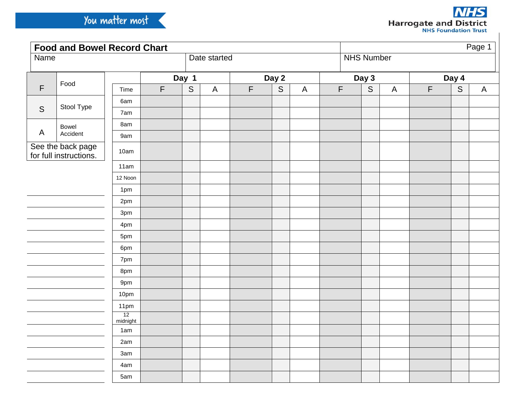| <b>Food and Bowel Record Chart</b>          |                        |            |             |             |              |             |             |              |             |             | Page 1                    |             |             |              |  |  |
|---------------------------------------------|------------------------|------------|-------------|-------------|--------------|-------------|-------------|--------------|-------------|-------------|---------------------------|-------------|-------------|--------------|--|--|
| <b>Name</b>                                 |                        |            |             |             | Date started |             |             |              |             |             | <b>NHS Number</b>         |             |             |              |  |  |
| $\mathsf F$                                 | Food                   |            |             | Day 1       |              |             | Day 2       |              |             | Day 3       |                           |             | Day 4       |              |  |  |
|                                             |                        | Time       | $\mathsf F$ | $\mathsf S$ | $\mathsf{A}$ | $\mathsf F$ | $\mathsf S$ | $\mathsf{A}$ | $\mathsf F$ | $\mathsf S$ | $\boldsymbol{\mathsf{A}}$ | $\mathsf F$ | $\mathsf S$ | $\mathsf{A}$ |  |  |
| S                                           |                        | 6am        |             |             |              |             |             |              |             |             |                           |             |             |              |  |  |
|                                             |                        | 7am        |             |             |              |             |             |              |             |             |                           |             |             |              |  |  |
|                                             | Bowel                  | 8am        |             |             |              |             |             |              |             |             |                           |             |             |              |  |  |
| $\mathsf{A}$                                | Stool Type<br>Accident | 9am        |             |             |              |             |             |              |             |             |                           |             |             |              |  |  |
| See the back page<br>for full instructions. |                        | 10am       |             |             |              |             |             |              |             |             |                           |             |             |              |  |  |
|                                             |                        | 11am       |             |             |              |             |             |              |             |             |                           |             |             |              |  |  |
|                                             |                        | 12 Noon    |             |             |              |             |             |              |             |             |                           |             |             |              |  |  |
|                                             |                        | 1pm        |             |             |              |             |             |              |             |             |                           |             |             |              |  |  |
|                                             |                        | 2pm        |             |             |              |             |             |              |             |             |                           |             |             |              |  |  |
|                                             |                        | 3pm        |             |             |              |             |             |              |             |             |                           |             |             |              |  |  |
|                                             |                        | 4pm        |             |             |              |             |             |              |             |             |                           |             |             |              |  |  |
|                                             |                        | 5pm        |             |             |              |             |             |              |             |             |                           |             |             |              |  |  |
|                                             |                        | 6pm        |             |             |              |             |             |              |             |             |                           |             |             |              |  |  |
|                                             |                        | 7pm        |             |             |              |             |             |              |             |             |                           |             |             |              |  |  |
|                                             |                        | 8pm        |             |             |              |             |             |              |             |             |                           |             |             |              |  |  |
|                                             |                        | 9pm        |             |             |              |             |             |              |             |             |                           |             |             |              |  |  |
|                                             |                        | 10pm       |             |             |              |             |             |              |             |             |                           |             |             |              |  |  |
|                                             |                        | 11pm<br>12 |             |             |              |             |             |              |             |             |                           |             |             |              |  |  |
|                                             |                        | midnight   |             |             |              |             |             |              |             |             |                           |             |             |              |  |  |
|                                             |                        | 1am        |             |             |              |             |             |              |             |             |                           |             |             |              |  |  |
|                                             |                        | 2am        |             |             |              |             |             |              |             |             |                           |             |             |              |  |  |
|                                             |                        | 3am        |             |             |              |             |             |              |             |             |                           |             |             |              |  |  |
|                                             |                        | 4am        |             |             |              |             |             |              |             |             |                           |             |             |              |  |  |
|                                             |                        | 5am        |             |             |              |             |             |              |             |             |                           |             |             |              |  |  |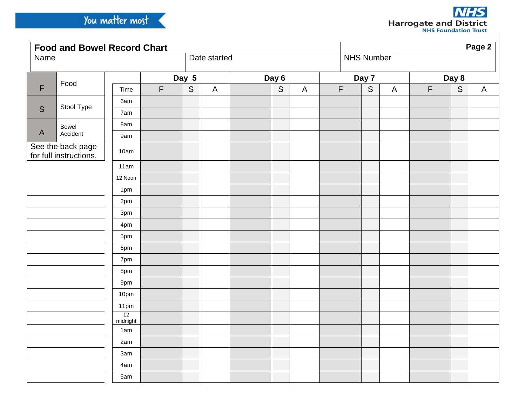| <b>Food and Bowel Record Chart</b>          |            |                |             |       |              |  |       |              |             | Page 2 |                   |             |                |              |  |  |
|---------------------------------------------|------------|----------------|-------------|-------|--------------|--|-------|--------------|-------------|--------|-------------------|-------------|----------------|--------------|--|--|
| <b>Name</b>                                 |            |                |             |       | Date started |  |       |              |             |        | <b>NHS Number</b> |             |                |              |  |  |
| $\mathsf F$                                 | Food       |                |             | Day 5 |              |  | Day 6 |              |             | Day 7  |                   |             | Day 8          |              |  |  |
|                                             |            | Time           | $\mathsf F$ | S     | $\mathsf{A}$ |  | S     | $\mathsf{A}$ | $\mathsf F$ | S      | $\overline{A}$    | $\mathsf F$ | $\overline{S}$ | $\mathsf{A}$ |  |  |
| S                                           | Stool Type | 6am            |             |       |              |  |       |              |             |        |                   |             |                |              |  |  |
|                                             |            | 7am            |             |       |              |  |       |              |             |        |                   |             |                |              |  |  |
|                                             | Bowel      | 8am            |             |       |              |  |       |              |             |        |                   |             |                |              |  |  |
| $\mathsf{A}$                                | Accident   | 9am            |             |       |              |  |       |              |             |        |                   |             |                |              |  |  |
| See the back page<br>for full instructions. |            | 10am           |             |       |              |  |       |              |             |        |                   |             |                |              |  |  |
|                                             |            | 11am           |             |       |              |  |       |              |             |        |                   |             |                |              |  |  |
|                                             |            | 12 Noon        |             |       |              |  |       |              |             |        |                   |             |                |              |  |  |
|                                             |            | 1pm            |             |       |              |  |       |              |             |        |                   |             |                |              |  |  |
|                                             |            | 2pm            |             |       |              |  |       |              |             |        |                   |             |                |              |  |  |
|                                             |            | 3pm            |             |       |              |  |       |              |             |        |                   |             |                |              |  |  |
|                                             |            | 4pm            |             |       |              |  |       |              |             |        |                   |             |                |              |  |  |
|                                             |            | 5pm            |             |       |              |  |       |              |             |        |                   |             |                |              |  |  |
|                                             |            | 6pm            |             |       |              |  |       |              |             |        |                   |             |                |              |  |  |
|                                             |            | 7pm            |             |       |              |  |       |              |             |        |                   |             |                |              |  |  |
|                                             |            | 8pm            |             |       |              |  |       |              |             |        |                   |             |                |              |  |  |
|                                             |            | 9pm            |             |       |              |  |       |              |             |        |                   |             |                |              |  |  |
|                                             |            | 10pm           |             |       |              |  |       |              |             |        |                   |             |                |              |  |  |
|                                             |            | 11pm           |             |       |              |  |       |              |             |        |                   |             |                |              |  |  |
|                                             |            | 12<br>midnight |             |       |              |  |       |              |             |        |                   |             |                |              |  |  |
|                                             |            | 1am            |             |       |              |  |       |              |             |        |                   |             |                |              |  |  |
|                                             |            | 2am            |             |       |              |  |       |              |             |        |                   |             |                |              |  |  |
|                                             |            | 3am            |             |       |              |  |       |              |             |        |                   |             |                |              |  |  |
|                                             |            | 4am            |             |       |              |  |       |              |             |        |                   |             |                |              |  |  |
|                                             |            | 5am            |             |       |              |  |       |              |             |        |                   |             |                |              |  |  |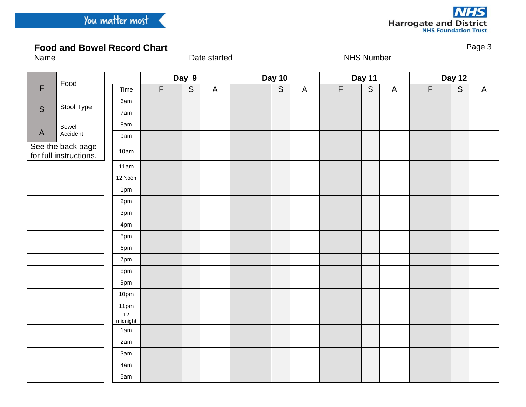| <b>Food and Bowel Record Chart</b>          |            |                |             |             |              |               |   |              |             | Page 3            |                           |             |             |              |  |  |
|---------------------------------------------|------------|----------------|-------------|-------------|--------------|---------------|---|--------------|-------------|-------------------|---------------------------|-------------|-------------|--------------|--|--|
| <b>Name</b>                                 |            |                |             |             | Date started |               |   |              |             | <b>NHS Number</b> |                           |             |             |              |  |  |
| $\mathsf F$                                 | Food       |                |             | Day 9       |              | <b>Day 10</b> |   |              |             | Day 11            |                           |             | Day 12      |              |  |  |
|                                             |            | Time           | $\mathsf F$ | $\mathsf S$ | $\mathsf{A}$ |               | S | $\mathsf{A}$ | $\mathsf F$ | $\mathsf S$       | $\boldsymbol{\mathsf{A}}$ | $\mathsf F$ | $\mathsf S$ | $\mathsf{A}$ |  |  |
| $\mathsf S$                                 | Stool Type | 6am            |             |             |              |               |   |              |             |                   |                           |             |             |              |  |  |
|                                             |            | 7am            |             |             |              |               |   |              |             |                   |                           |             |             |              |  |  |
|                                             | Bowel      | 8am            |             |             |              |               |   |              |             |                   |                           |             |             |              |  |  |
| $\mathsf{A}$                                | Accident   | 9am            |             |             |              |               |   |              |             |                   |                           |             |             |              |  |  |
| See the back page<br>for full instructions. |            | 10am           |             |             |              |               |   |              |             |                   |                           |             |             |              |  |  |
|                                             |            | 11am           |             |             |              |               |   |              |             |                   |                           |             |             |              |  |  |
|                                             |            | 12 Noon        |             |             |              |               |   |              |             |                   |                           |             |             |              |  |  |
|                                             |            | 1pm            |             |             |              |               |   |              |             |                   |                           |             |             |              |  |  |
|                                             |            | 2pm            |             |             |              |               |   |              |             |                   |                           |             |             |              |  |  |
|                                             |            | 3pm            |             |             |              |               |   |              |             |                   |                           |             |             |              |  |  |
|                                             |            | 4pm            |             |             |              |               |   |              |             |                   |                           |             |             |              |  |  |
|                                             |            | 5pm            |             |             |              |               |   |              |             |                   |                           |             |             |              |  |  |
|                                             |            | 6pm            |             |             |              |               |   |              |             |                   |                           |             |             |              |  |  |
|                                             |            | 7pm            |             |             |              |               |   |              |             |                   |                           |             |             |              |  |  |
|                                             |            | 8pm            |             |             |              |               |   |              |             |                   |                           |             |             |              |  |  |
|                                             |            | 9pm            |             |             |              |               |   |              |             |                   |                           |             |             |              |  |  |
|                                             |            | 10pm           |             |             |              |               |   |              |             |                   |                           |             |             |              |  |  |
|                                             |            | 11pm           |             |             |              |               |   |              |             |                   |                           |             |             |              |  |  |
|                                             |            | 12<br>midnight |             |             |              |               |   |              |             |                   |                           |             |             |              |  |  |
|                                             |            | 1am            |             |             |              |               |   |              |             |                   |                           |             |             |              |  |  |
|                                             |            | 2am            |             |             |              |               |   |              |             |                   |                           |             |             |              |  |  |
|                                             |            | 3am            |             |             |              |               |   |              |             |                   |                           |             |             |              |  |  |
|                                             |            | 4am            |             |             |              |               |   |              |             |                   |                           |             |             |              |  |  |
|                                             |            | 5am            |             |             |              |               |   |              |             |                   |                           |             |             |              |  |  |